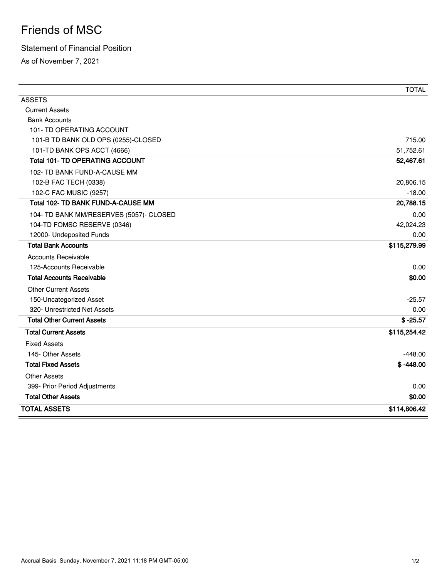## Friends of MSC

## Statement of Financial Position

As of November 7, 2021

|                                         | <b>TOTAL</b> |
|-----------------------------------------|--------------|
| <b>ASSETS</b>                           |              |
| <b>Current Assets</b>                   |              |
| <b>Bank Accounts</b>                    |              |
| 101- TD OPERATING ACCOUNT               |              |
| 101-B TD BANK OLD OPS (0255)-CLOSED     | 715.00       |
| 101-TD BANK OPS ACCT (4666)             | 51,752.61    |
| <b>Total 101- TD OPERATING ACCOUNT</b>  | 52,467.61    |
| 102- TD BANK FUND-A-CAUSE MM            |              |
| 102-B FAC TECH (0338)                   | 20,806.15    |
| 102-C FAC MUSIC (9257)                  | $-18.00$     |
| Total 102- TD BANK FUND-A-CAUSE MM      | 20,788.15    |
| 104- TD BANK MM/RESERVES (5057)- CLOSED | 0.00         |
| 104-TD FOMSC RESERVE (0346)             | 42,024.23    |
| 12000- Undeposited Funds                | 0.00         |
| <b>Total Bank Accounts</b>              | \$115,279.99 |
| <b>Accounts Receivable</b>              |              |
| 125-Accounts Receivable                 | 0.00         |
| <b>Total Accounts Receivable</b>        | \$0.00       |
| <b>Other Current Assets</b>             |              |
| 150-Uncategorized Asset                 | $-25.57$     |
| 320- Unrestricted Net Assets            | 0.00         |
| <b>Total Other Current Assets</b>       | $$ -25.57$   |
| <b>Total Current Assets</b>             | \$115,254.42 |
| <b>Fixed Assets</b>                     |              |
| 145- Other Assets                       | $-448.00$    |
| <b>Total Fixed Assets</b>               | $$ -448.00$  |
| <b>Other Assets</b>                     |              |
| 399- Prior Period Adjustments           | 0.00         |
| <b>Total Other Assets</b>               | \$0.00       |
| <b>TOTAL ASSETS</b>                     | \$114,806.42 |